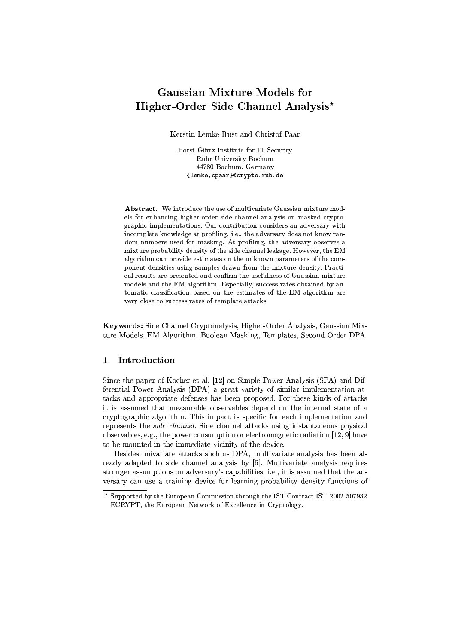# **Gaussian Mixture Models for** Higher-Order Side Channel Analysis\*

Kerstin Lemke-Rust and Christof Paar

Horst Görtz Institute for IT Security Ruhr University Bochum 44780 Bochum, Germany {lemke, cpaar}@crypto.rub.de

Abstract. We introduce the use of multivariate Gaussian mixture models for enhancing higher-order side channel analysis on masked cryptographic implementations. Our contribution considers an adversary with incomplete knowledge at profiling, i.e., the adversary does not know random numbers used for masking. At profiling, the adversary observes a mixture probability density of the side channel leakage. However, the EM algorithm can provide estimates on the unknown parameters of the component densities using samples drawn from the mixture density. Practical results are presented and confirm the usefulness of Gaussian mixture models and the EM algorithm. Especially, success rates obtained by automatic classification based on the estimates of the EM algorithm are very close to success rates of template attacks.

Keywords: Side Channel Cryptanalysis, Higher-Order Analysis, Gaussian Mixture Models, EM Algorithm, Boolean Masking, Templates, Second-Order DPA.

### $\mathbf{1}$ Introduction

Since the paper of Kocher et al. [12] on Simple Power Analysis (SPA) and Differential Power Analysis (DPA) a great variety of similar implementation attacks and appropriate defenses has been proposed. For these kinds of attacks it is assumed that measurable observables depend on the internal state of a cryptographic algorithm. This impact is specific for each implementation and represents the *side channel*. Side channel attacks using instantaneous physical observables, e.g., the power consumption or electromagnetic radiation [12, 9] have to be mounted in the immediate vicinity of the device.

Besides univariate attacks such as DPA, multivariate analysis has been already adapted to side channel analysis by [5]. Multivariate analysis requires stronger assumptions on adversary's capabilities, i.e., it is assumed that the adversary can use a training device for learning probability density functions of

Supported by the European Commission through the IST Contract IST-2002-507932 ECRYPT, the European Network of Excellence in Cryptology.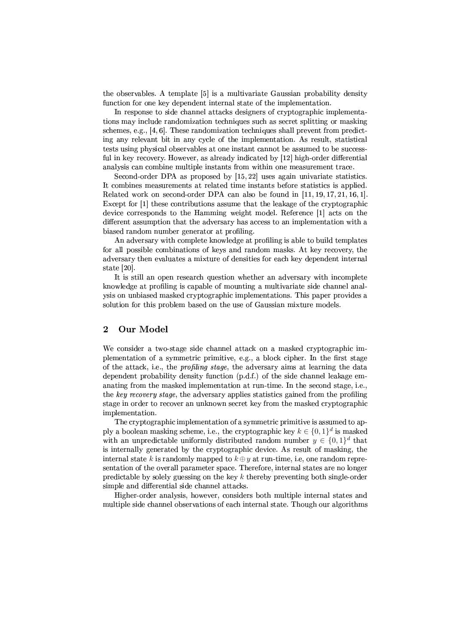the observables. A template [5] is a multivariate Gaussian probability density function for one key dependent internal state of the implementation.

In response to side channel attacks designers of cryptographic implementations may include randomization techniques such as secret splitting or masking schemes, e.g., [4, 6]. These randomization techniques shall prevent from predicting any relevant bit in any cycle of the implementation. As result, statistical tests using physical observables at one instant cannot be assumed to be successful in key recovery. However, as already indicated by [12] high-order differential analysis can combine multiple instants from within one measurement trace.

Second-order DPA as proposed by  $[15, 22]$  uses again univariate statistics. It combines measurements at related time instants before statistics is applied. Related work on second-order DPA can also be found in  $[11, 19, 17, 21, 16, 1]$ . Except for [1] these contributions assume that the leakage of the cryptographic device corresponds to the Hamming weight model. Reference [1] acts on the different assumption that the adversary has access to an implementation with a biased random number generator at profiling.

An adversary with complete knowledge at profiling is able to build templates for all possible combinations of keys and random masks. At key recovery, the adversary then evaluates a mixture of densities for each key dependent internal state [20].

It is still an open research question whether an adversary with incomplete knowledge at profiling is capable of mounting a multivariate side channel analysis on unbiased masked cryptographic implementations. This paper provides a solution for this problem based on the use of Gaussian mixture models.

# $\overline{2}$ Our Model

We consider a two-stage side channel attack on a masked cryptographic implementation of a symmetric primitive, e.g., a block cipher. In the first stage of the attack, i.e., the *profiling stage*, the adversary aims at learning the data dependent probability density function (p.d.f.) of the side channel leakage emanating from the masked implementation at run-time. In the second stage, i.e., the key recovery stage, the adversary applies statistics gained from the profiling stage in order to recover an unknown secret key from the masked cryptographic implementation.

The cryptographic implementation of a symmetric primitive is assumed to apply a boolean masking scheme, i.e., the cryptographic key  $k \in \{0,1\}^d$  is masked with an unpredictable uniformly distributed random number  $y \in \{0,1\}^d$  that is internally generated by the cryptographic device. As result of masking, the internal state k is randomly mapped to  $k \oplus y$  at run-time, i.e, one random representation of the overall parameter space. Therefore, internal states are no longer predictable by solely guessing on the key  $k$  thereby preventing both single-order simple and differential side channel attacks.

Higher-order analysis, however, considers both multiple internal states and multiple side channel observations of each internal state. Though our algorithms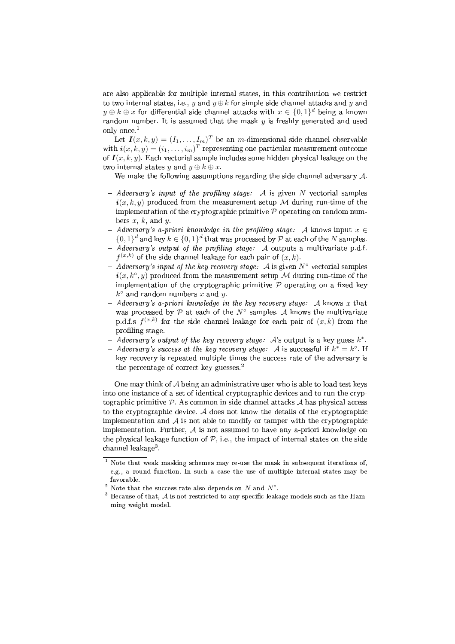are also applicable for multiple internal states, in this contribution we restrict to two internal states, i.e., y and  $y \oplus k$  for simple side channel attacks and y and  $y \oplus k \oplus x$  for differential side channel attacks with  $x \in \{0,1\}^d$  being a known random number. It is assumed that the mask  $y$  is freshly generated and used only once.<sup>1</sup>

Let  $I(x, k, y) = (I_1, \dots, I_m)^T$  be an *m*-dimensional side channel observable with  $\boldsymbol{i}(x, k, y) = (i_1, \ldots, i_m)^T$  representing one particular measurement outcome of  $I(x, k, y)$ . Each vectorial sample includes some hidden physical leakage on the two internal states y and  $y \oplus k \oplus x$ .

We make the following assumptions regarding the side channel adversary  $A$ .

- $-$  Adversary's input of the profiling stage: A is given N vectorial samples  $i(x, k, y)$  produced from the measurement setup M during run-time of the implementation of the cryptographic primitive  $P$  operating on random numbers  $x, k$ , and  $y$ .
- Adversary's a-priori knowledge in the profiling stage: A knows input  $x \in$  $\{0,1\}^d$  and key  $k \in \{0,1\}^d$  that was processed by  $P$  at each of the N samples.
- $-A$ *dversary's output of the profiling stage:* A outputs a multivariate p.d.f.  $f^{(x,k)}$  of the side channel leakage for each pair of  $(x, k)$ .
- Adversary's input of the key recovery stage: A is given  $N^{\circ}$  vectorial samples  $\mathbf{i}(x, k^{\circ}, y)$  produced from the measurement setup M during run-time of the implementation of the cryptographic primitive  $P$  operating on a fixed key  $k^{\circ}$  and random numbers x and y.
- Adversary's a-priori knowledge in the key recovery stage: A knows x that was processed by  $P$  at each of the  $N^{\circ}$  samples. A knows the multivariate p.d.f.s  $f^{(x,k)}$  for the side channel leakage for each pair of  $(x, k)$  from the profiling stage.
- Adversary's output of the key recovery stage:  $A$ 's output is a key guess  $k^*$ .
- Adversary's success at the key recovery stage: A is successful if  $k^* = k^{\circ}$ . If key recovery is repeated multiple times the success rate of the adversary is the percentage of correct key guesses. $<sup>2</sup>$ </sup>

One may think of  $A$  being an administrative user who is able to load test keys into one instance of a set of identical cryptographic devices and to run the cryptographic primitive  $\mathcal P$ . As common in side channel attacks  $\mathcal A$  has physical access to the cryptographic device.  $A$  does not know the details of the cryptographic implementation and  $A$  is not able to modify or tamper with the cryptographic implementation. Further,  $A$  is not assumed to have any a-priori knowledge on the physical leakage function of  $P$ , i.e., the impact of internal states on the side channel leakage<sup>3</sup>.

 $1$  Note that weak masking schemes may re-use the mask in subsequent iterations of, e.g., a round function. In such a case the use of multiple internal states may be favorable.

<sup>&</sup>lt;sup>2</sup> Note that the success rate also depends on N and  $N^{\circ}$ .

 $3$  Because of that,  $A$  is not restricted to any specific leakage models such as the Hamming weight model.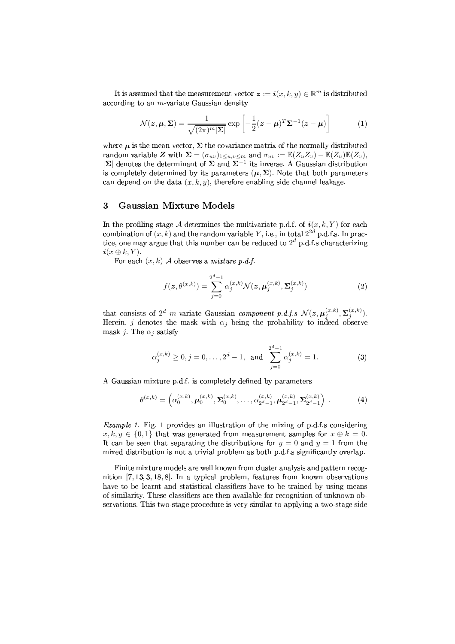It is assumed that the measurement vector  $\boldsymbol{z} := \boldsymbol{i}(x, k, y) \in \mathbb{R}^m$  is distributed according to an  $m$ -variate Gaussian density

$$
\mathcal{N}(z,\mu,\Sigma) = \frac{1}{\sqrt{(2\pi)^m |\Sigma|}} \exp\left[-\frac{1}{2}(z-\mu)^T \Sigma^{-1} (z-\mu)\right]
$$
(1)

where  $\mu$  is the mean vector,  $\Sigma$  the covariance matrix of the normally distributed random variable Z with  $\Sigma = (\sigma_{uv})_{1 \le u, v \le m}$  and  $\sigma_{uv} := \mathbb{E}(Z_u Z_v) - \mathbb{E}(Z_u)\mathbb{E}(Z_v)$ ,  $|\Sigma|$  denotes the determinant of  $\Sigma$  and  $\Sigma^{-1}$  its inverse. A Gaussian distribution is completely determined by its parameters  $(\mu, \Sigma)$ . Note that both parameters can depend on the data  $(x, k, y)$ , therefore enabling side channel leakage.

# 3 **Gaussian Mixture Models**

In the profiling stage A determines the multivariate p.d.f. of  $i(x, k, Y)$  for each combination of  $(x, k)$  and the random variable Y, i.e., in total  $2^{2d}$  p.d.f.s. In practice, one may argue that this number can be reduced to  $2^d$  p.d.f.s characterizing  $i(x \oplus k, Y)$ .

For each  $(x, k)$  A observes a *mixture* p.d.f.

$$
f(z, \theta^{(x,k)}) = \sum_{j=0}^{2^d - 1} \alpha_j^{(x,k)} \mathcal{N}(z, \mu_j^{(x,k)}, \Sigma_j^{(x,k)})
$$
(2)

that consists of  $2^d$  m-variate Gaussian component p.d.f.s  $\mathcal{N}(z, \mu_i^{(x,k)}, \Sigma_i^{(x,k)})$ . Herein, j denotes the mask with  $\alpha_i$  being the probability to indeed observe mask j. The  $\alpha_i$  satisfy

$$
\alpha_j^{(x,k)} \ge 0, j = 0, ..., 2^d - 1, \text{ and } \sum_{j=0}^{2^d - 1} \alpha_j^{(x,k)} = 1.
$$
 (3)

A Gaussian mixture p.d.f. is completely defined by parameters

$$
\theta^{(x,k)} = \left(\alpha_0^{(x,k)}, \mu_0^{(x,k)}, \Sigma_0^{(x,k)}, \dots, \alpha_{2^d-1}^{(x,k)}, \mu_{2^d-1}^{(x,k)}, \Sigma_{2^d-1}^{(x,k)}\right) .
$$
 (4)

*Example 1.* Fig. 1 provides an illustration of the mixing of p.d.f.s considering  $x, k, y \in \{0, 1\}$  that was generated from measurement samples for  $x \oplus k = 0$ . It can be seen that separating the distributions for  $y = 0$  and  $y = 1$  from the mixed distribution is not a trivial problem as both p.d.f.s significantly overlap.

Finite mixture models are well known from cluster analysis and pattern recognition  $[7, 13, 3, 18, 8]$ . In a typical problem, features from known observations have to be learnt and statistical classifiers have to be trained by using means of similarity. These classifiers are then available for recognition of unknown observations. This two-stage procedure is very similar to applying a two-stage side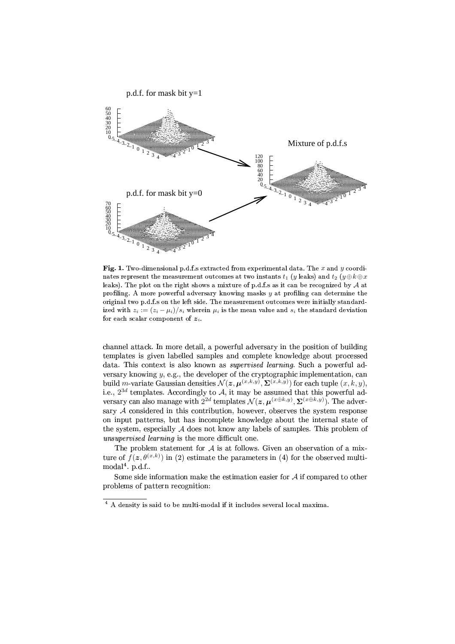

 ${\bf Fig. 1.}$  Two-dimensional p.d.f.s extracted from experimental data. The  $x$  and  $y$  coordinates represent the measurement outcomes at two instants  $t_1$  (y leaks) and  $t_2$  (y  $\oplus k \oplus x$ leaks). The plot on the right shows a mixture of p.d.f.s as it can be recognized by  ${\mathcal{A}}$  at profiling. A more powerful adversary knowing masks  $y$  at profiling can determine the  $\blacksquare$ ized with  $z_i := (z_i - \mu_i)/s_i$  wherein  $\mu_i$  is the mean value and  $s_i$  the standard deviation for each scalar component of  $z_i$ 

âRJLN8K8;LEâCä Hoofdie voor die voll die voll die voll die voll die voll die voll die voll die voll die voll die voll die voll die voll die voll die voll die voll die voll die voll die voll die voll die voll die voll die 8W4 AÕTÒoL 8;4B7:o7ØY:UøY4B<ÿÒoLNú¿4 ÒUÒU4BO 7WLYAÕTÒ=4|7LN<JO â VYAÕTÒU48W4?C¤<TV ôÒU4BOªØE4QLNú¿VYIª8ÕT6;Vªâ4B7;7W4BO '' and '' in the set of the set of the set of the set of the set of the set of the set of the set of the set of the set of the set of the set of the set of the set of the set of the set of the set of the set of the set of versary knowing  $y$ , e.g., the developer of the cryptographic implementation, can build m-variate Gaussian densities  $\mathcal{N}(\bm{z}, \bm{\mu}^{(x,k,y)}, \bm{\Sigma}^{(x,k,y)})$  for each tuple  $(x, k, y),$ i.e.,  $2^{3d}$  templates. Accordingly to  $\mathcal{A}$ , it may be assumed that this powerful ad versary can also manage with  $2^{2d}$  templates  $\mathcal{N}(\bm{z},\bm{\mu}^{(x\oplus k,y)},\bm{\Sigma}^{(x\oplus k,y)})$ . The adver sary  $\mathcal A$  considered in this contribution, however, observes the system response ovyi a stranovnika stranovnika končinenta stranovnika končinenta stranovnika končinenta stranovnika končinenta s the system, especially  $\mathcal A$  does not know any labels of samples. This problem of  $\sim$  35, RT4  $\sim$  35, RT4  $\sim$  36, RT4  $\sim$  36, RT4  $\sim$  36, RT4  $\sim$  36, RT4  $\sim$  36, RT4  $\sim$  37, RT4  $\sim$  37, RT4  $\sim$  37, RT4  $\sim$  37, RT4  $\sim$  37, RT4  $\sim$  37, RT4  $\sim$  37, RT4  $\sim$  37, RT4  $\sim$  37, RT4  $\sim$  37, RT4

The problem statement for  $A$  is at follows. Given an observation of a mixture of  $f(z, \theta^{(x,k)})$  in (2) estimate the parameters in (4) for the observed multimodal $4$ . p.d.f.

Some side information make the estimation easier for  ${\mathcal A}$  if compared to other problems of pattern recognition:

¾ù©Ymgi`Hjkaht~j¨`y`9Bj{©Da9]±·ªm§li«ka9jk°]N©iB«ªjkn'jkavj¨gis«¨li©Em`y`HmzmW\_KB«J«{] sB«¬Ej¨Nµ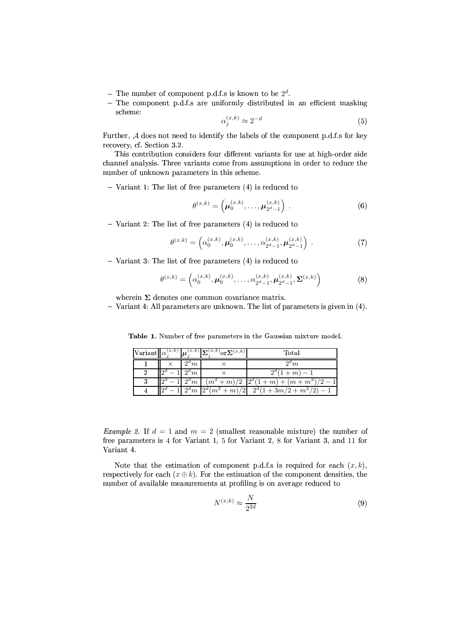- The number of component p.d.f.s is known to be  $2^d$ .
- The component p.d.f.s are uniformly distributed in an efficient masking scheme:

$$
\alpha_j^{(x,k)} \approx 2^{-d} \tag{5}
$$

Further, A does not need to identify the labels of the component p.d.f.s for key recovery, cf. Section 3.2.

This contribution considers four different variants for use at high-order side channel analysis. Three variants come from assumptions in order to reduce the number of unknown parameters in this scheme.

 $-$  Variant 1: The list of free parameters  $(4)$  is reduced to

$$
\theta^{(x,k)} = \left(\mu_0^{(x,k)}, \ldots, \mu_{2^d-1}^{(x,k)}\right) . \tag{6}
$$

 $-$  Variant 2: The list of free parameters (4) is reduced to

$$
\theta^{(x,k)} = \left(\alpha_0^{(x,k)}, \mu_0^{(x,k)}, \dots, \alpha_{2^d-1}^{(x,k)}, \mu_{2^d-1}^{(x,k)}\right) . \tag{7}
$$

 $-$  Variant 3: The list of free parameters (4) is reduced to

$$
\theta^{(x,k)} = \left(\alpha_0^{(x,k)}, \mu_0^{(x,k)}, \dots, \alpha_{2^d-1}^{(x,k)}, \mu_{2^d-1}^{(x,k)}, \Sigma^{(x,k)}\right)
$$
(8)

wherein  $\Sigma$  denotes one common covariance matrix.

- Variant 4: All parameters are unknown. The list of parameters is given in  $(4)$ .

Table 1. Number of free parameters in the Gaussian mixture model.

|   |          |          | $\ \text{Variant}\ _{\alpha_i^{(x,k)}}\ \mu_i^{(x,k)}\ \Sigma_i^{(x,k)}\text{or}\Sigma^{(x,k)}\ $ | Total                                                              |
|---|----------|----------|---------------------------------------------------------------------------------------------------|--------------------------------------------------------------------|
|   |          | $12^a m$ |                                                                                                   | $2^a m$                                                            |
| 2 |          | $2^d m$  |                                                                                                   | $2^d(1+m)-1$                                                       |
|   |          |          |                                                                                                   | $-1\left(2^d m\right) (m^2+m)/2 \left(2^d(1+m)+(m+m^2)/2-1\right)$ |
|   | $\Omega$ |          |                                                                                                   | $2^d m \left[ 2^d (m^2 + m)/2 \right] 2^d (1 + 3m/2 + m^2/2) - 1$  |

*Example 2.* If  $d = 1$  and  $m = 2$  (smallest reasonable mixture) the number of free parameters is 4 for Variant 1, 5 for Variant 2, 8 for Variant 3, and 11 for Variant<sub>4</sub>

Note that the estimation of component p.d.f.s is required for each  $(x, k)$ , respectively for each  $(x \oplus k)$ . For the estimation of the component densities, the number of available measurements at profiling is on average reduced to

$$
N^{(x,k)} \approx \frac{N}{2^{2d}}\tag{9}
$$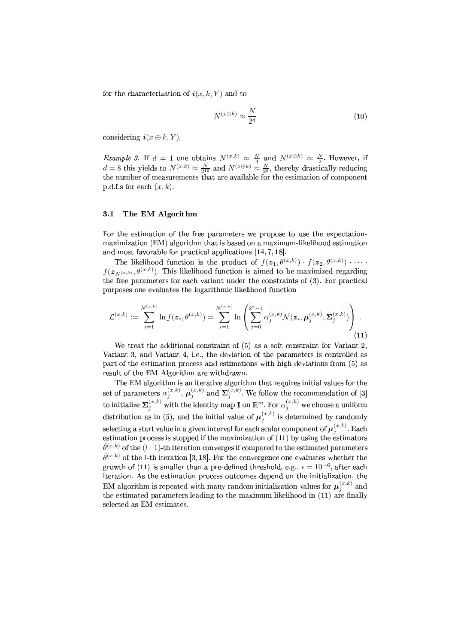for the characterization of  $i(x, k, Y)$  and to

$$
N^{(x \oplus k)} \approx \frac{N}{2^d} \tag{10}
$$

considering  $\mathbf{i}(x \oplus k, Y)$ .

*Example 3.* If  $d = 1$  one obtains  $N^{(x,k)} \approx \frac{N}{4}$  and  $N^{(x \oplus k)} \approx \frac{N}{2}$ . However, if  $d = 8$  this yields to  $N^{(x,k)} \approx \frac{N}{2^{16}}$  and  $N^{(x \oplus k)} \approx \frac{N}{2^8}$ , thereby drastically reducing the number of measurements tha p.d.f.s for each  $(x, k)$ .

#### $3.1$ The EM Algorithm

For the estimation of the free parameters we propose to use the expectationmaximization (EM) algorithm that is based on a maximum-likelihood estimation and most favorable for practical applications  $[14, 7, 18]$ .

The likelihood function is the product of  $f(z_1, \theta^{(x,k)}) \cdot f(z_2, \theta^{(x,k)}) \cdot \cdots$  $f(z_{N^{(x,k)}}, \theta^{(x,k)})$ . This likelihood function is aimed to be maximized regarding the free parameters for each variant under the constraints of (3). For practical purposes one evaluates the logarithmic likelihood function

$$
\mathcal{L}^{(x,k)} := \sum_{i=1}^{N^{(x,k)}} \ln f(z_i, \theta^{(x,k)}) = \sum_{i=1}^{N^{(x,k)}} \ln \left( \sum_{j=0}^{2^d-1} \alpha_j^{(x,k)} \mathcal{N}(z_i, \mu_j^{(x,k)}, \Sigma_j^{(x,k)}) \right).
$$
\n(11)

We treat the additional constraint of  $(5)$  as a soft constraint for Variant 2. Variant 3, and Variant 4, i.e., the deviation of the parameters is controlled as part of the estimation process and estimations with high deviations from (5) as result of the EM Algorithm are withdrawn.

The EM algorithm is an iterative algorithm that requires initial values for the set of parameters  $\alpha_j^{(x,k)}$ ,  $\mu_j^{(x,k)}$  and  $\Sigma_j^{(x,k)}$ . We follow the recommendation of [3]<br>to initialize  $\Sigma_j^{(x,k)}$  with the identity map **I** on  $\mathbb{R}^m$ . For  $\alpha_j^{(x,k)}$  we choose a uniform distribution as in (5), and the initial value of  $\mu_i^{(x,k)}$  is determined by randomly selecting a start value in a given interval for each scalar component of  $\mu_j^{(x,k)}$ . Each estimation process is stopped if the maximization of (11) by using the estimators  $\hat{\theta}^{(x,k)}$  of the  $(l+1)$ -th iteration converges if compared to the estimated parameters  $\hat{\theta}^{(x,k)}$  of the *l*-th iteration [3, 18]. For the convergence one evaluates whether the growth of (11) is smaller than a pre-defined threshold, e.g.,  $\epsilon = 10^{-6}$ , after each iteration. As the estimation process outcomes depend on the initialization, the EM algorithm is repeated with many random initialization values for  $\mu_i^{(x,k)}$  and the estimated parameters leading to the maximum likelihood in (11) are finally selected as EM estimates.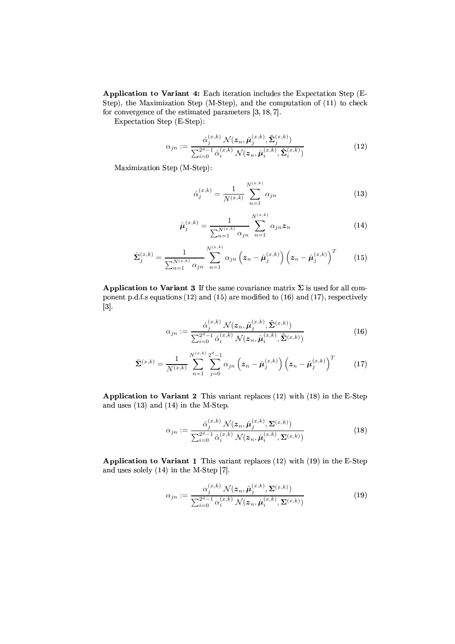Application to Variant 4: Each iteration includes the Expectation Step (E-Step), the Maximization Step (M-Step), and the computation of (11) to check for convergence of the estimated parameters  $[3, 18, 7]$ .

Expectation Step (E-Step):

$$
\alpha_{jn} := \frac{\hat{\alpha}_j^{(x,k)} \mathcal{N}(z_n, \hat{\boldsymbol{\mu}}_j^{(x,k)}, \hat{\boldsymbol{\Sigma}}_j^{(x,k)})}{\sum_{i=0}^{2^d-1} \hat{\alpha}_i^{(x,k)} \mathcal{N}(z_n, \hat{\boldsymbol{\mu}}_i^{(x,k)}, \hat{\boldsymbol{\Sigma}}_i^{(x,k)})}
$$
(12)

Maximization Step (M-Step):

$$
\hat{\alpha}_j^{(x,k)} = \frac{1}{N^{(x,k)}} \sum_{n=1}^{N^{(x,k)}} \alpha_{jn} \tag{13}
$$

$$
\hat{\mu}_{j}^{(x,k)} = \frac{1}{\sum_{n=1}^{N^{(x,k)}} \alpha_{jn}} \sum_{n=1}^{N^{(x,k)}} \alpha_{jn} z_n \tag{14}
$$

$$
\hat{\Sigma}_{j}^{(x,k)} = \frac{1}{\sum_{n=1}^{N^{(x,k)}} \alpha_{jn}} \sum_{n=1}^{N^{(x,k)}} \alpha_{jn} \left( z_n - \hat{\mu}_j^{(x,k)} \right) \left( z_n - \hat{\mu}_j^{(x,k)} \right)^T \qquad (15)
$$

Application to Variant 3 If the same covariance matrix  $\Sigma$  is used for all component p.d.f.s equations (12) and (15) are modified to (16) and (17), respectively  $\vert 3 \vert$ .

$$
\alpha_{jn} := \frac{\hat{\alpha}_j^{(x,k)} \mathcal{N}(z_n, \hat{\boldsymbol{\mu}}_j^{(x,k)}, \hat{\boldsymbol{\Sigma}}^{(x,k)})}{\sum_{i=0}^{2^d-1} \hat{\alpha}_i^{(x,k)} \mathcal{N}(z_n, \hat{\boldsymbol{\mu}}_i^{(x,k)}, \hat{\boldsymbol{\Sigma}}^{(x,k)})}
$$
(16)

$$
\hat{\Sigma}^{(x,k)} = \frac{1}{N^{(x,k)}} \sum_{n=1}^{N^{(x,k)}} \sum_{j=0}^{2^d-1} \alpha_{jn} \left( z_n - \hat{\mu}_j^{(x,k)} \right) \left( z_n - \hat{\mu}_j^{(x,k)} \right)^T \tag{17}
$$

Application to Variant 2 This variant replaces  $(12)$  with  $(18)$  in the E-Step and uses  $(13)$  and  $(14)$  in the M-Step.

$$
\alpha_{jn} := \frac{\hat{\alpha}_j^{(x,k)} \mathcal{N}(z_n, \hat{\boldsymbol{\mu}}_j^{(x,k)}, \boldsymbol{\Sigma}^{(x,k)})}{\sum_{i=0}^{2^d-1} \hat{\alpha}_i^{(x,k)} \mathcal{N}(z_n, \hat{\boldsymbol{\mu}}_i^{(x,k)}, \boldsymbol{\Sigma}^{(x,k)})}
$$
(18)

Application to Variant 1 This variant replaces  $(12)$  with  $(19)$  in the E-Step and uses solely  $(14)$  in the M-Step [7].

$$
\alpha_{jn} := \frac{\alpha_j^{(x,k)} \mathcal{N}(z_n, \hat{\boldsymbol{\mu}}_j^{(x,k)}, \boldsymbol{\Sigma}^{(x,k)})}{\sum_{i=0}^{2^d-1} \alpha_i^{(x,k)} \mathcal{N}(z_n, \hat{\boldsymbol{\mu}}_i^{(x,k)}, \boldsymbol{\Sigma}^{(x,k)})}
$$
(19)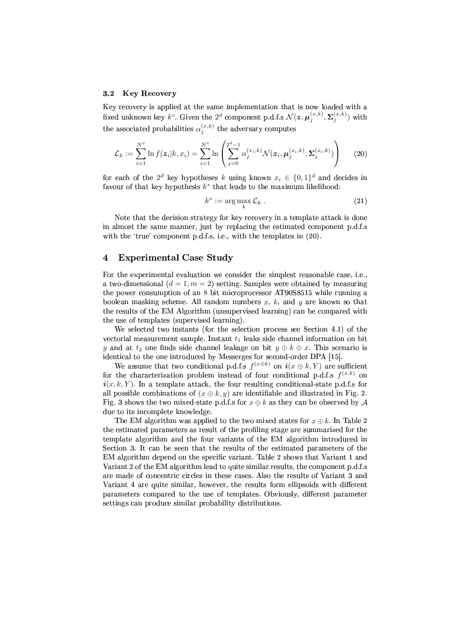#### $3.2$ **Key Recovery**

Key recovery is applied at the same implementation that is now loaded with a fixed unknown key  $k^{\circ}$ . Given the 2<sup>d</sup> component p.d.f.s  $\mathcal{N}(z, \mu_j^{(x,k)}, \Sigma_j^{(x,k)})$  with the associated probabilities  $\alpha_i^{(x,k)}$  the adversary computes

$$
\mathcal{L}_k := \sum_{i=1}^{N^{\circ}} \ln f(z_i|k, x_i) = \sum_{i=1}^{N^{\circ}} \ln \left( \sum_{j=0}^{2^d - 1} \alpha_j^{(x_i, k)} \mathcal{N}(z_i, \mu_j^{(x_i, k)}, \Sigma_j^{(x_i, k)}) \right) \tag{20}
$$

for each of the 2<sup>d</sup> key hypotheses k using known  $x_i \in \{0,1\}^d$  and decides in favour of that key hypothesis  $k^*$  that leads to the maximum likelihood:

$$
k^* := \arg\max_k \mathcal{L}_k \ . \tag{21}
$$

Note that the decision strategy for key recovery in a template attack is done in almost the same manner, just by replacing the estimated component p.d.f.s with the 'true' component p.d.f.s, i.e., with the templates in (20).

# $\overline{\mathbf{4}}$ **Experimental Case Study**

For the experimental evaluation we consider the simplest reasonable case, i.e., a two-dimensional  $(d = 1, m = 2)$  setting. Samples were obtained by measuring the power consumption of an 8 bit microprocessor AT90S8515 while running a boolean masking scheme. All random numbers  $x$ ,  $k$ , and  $y$  are known so that the results of the EM Algorithm (unsupervised learning) can be compared with the use of templates (supervised learning).

We selected two instants (for the selection process see Section 4.1) of the vectorial measurement sample. Instant  $t_1$  leaks side channel information on bit y and at  $t_2$  one finds side channel leakage on bit  $y \oplus k \oplus x$ . This scenario is identical to the one introduced by Messerges for second-order DPA [15].

We assume that two conditional p.d.f.s  $f^{(x \oplus k)}$  on  $i(x \oplus k, Y)$  are sufficient for the characterization problem instead of four conditional p.d.f.s  $f^{(x,k)}$  on  $i(x, k, Y)$ . In a template attack, the four resulting conditional-state p.d.f.s for all possible combinations of  $(x \oplus k, y)$  are identifiable and illustrated in Fig. 2. Fig. 3 shows the two mixed-state p.d.f.s for  $x \oplus k$  as they can be observed by A due to its incomplete knowledge.

The EM algorithm was applied to the two mixed states for  $x \oplus k$ . In Table 2 the estimated parameters as result of the profiling stage are summarized for the template algorithm and the four variants of the EM algorithm introduced in Section 3. It can be seen that the results of the estimated parameters of the EM algorithm depend on the specific variant. Table 2 shows that Variant 1 and Variant 2 of the EM algorithm lead to quite similar results, the component p.d.f.s are made of concentric circles in these cases. Also the results of Variant 3 and Variant 4 are quite similar, however, the results form ellipsoids with different parameters compared to the use of templates. Obviously, different parameter settings can produce similar probability distributions.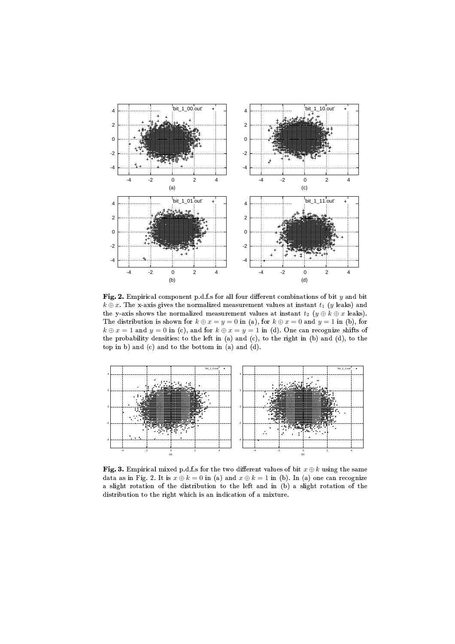

**Fig. 2.** Empirical component p.d.f.s for all four different combinations of bit  $y$  and bit  $k \oplus x$ . The x-axis gives the normalized measurement values at instant  $t_1$  (y leaks) and the y-axis shows the normalized measurement values at instant  $t_2$   $(y \oplus k \oplus x$  leaks). The distribution is shown for  $k \oplus x = y = 0$  in (a), for  $k \oplus x = 0$  and  $y = 1$  in (b), for  $k \oplus x = 1$  and  $y = 0$  in (c), and for  $k \oplus x = y = 1$  in (d). One can recognize shifts of the probability densities: to the left in (a) and (c), to the right in (b) and (d), to the top in b) and (c) and to the bottom in (a) and (d).



Fig. 3. Empirical mixed p.d.f.s for the two different values of bit  $x \oplus k$  using the same data as in Fig. 2. It is  $x \oplus k = 0$  in (a) and  $x \oplus k = 1$  in (b). In (a) one can recognize a slight rotation of the distribution to the left and in (b) a slight rotation of the %-(E!D31 , !i!j!8K?8<!0L-8 Q8R(\*S3% >!3R&kj9<!,-\$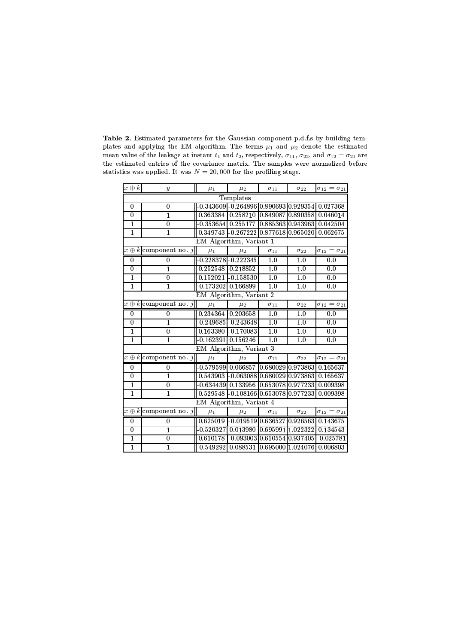| $x \oplus k$            | $\boldsymbol{y}$             | $\mu_1$              | $\mu_2$                                                 | $\sigma_{11}$    | $\sigma_{22}$    | $\sigma_{12}=\sigma_{21}$   |  |  |  |
|-------------------------|------------------------------|----------------------|---------------------------------------------------------|------------------|------------------|-----------------------------|--|--|--|
| Templates               |                              |                      |                                                         |                  |                  |                             |  |  |  |
| 0                       | $\theta$                     |                      | $-0.343609 - 0.264896   0.890693   0.929354   0.027368$ |                  |                  |                             |  |  |  |
| $\overline{0}$          | $\mathbf{1}$                 |                      | 0.363384 0.258210 0.849087 0.890358 0.046014            |                  |                  |                             |  |  |  |
| $\mathbf{1}$            | 0                            |                      | -0.353654 0.255177 0.885363 0.943963                    |                  |                  | 0.042504                    |  |  |  |
| $\overline{1}$          | $\overline{1}$               |                      | $0.349743$ - $0.267222$ $0.877618$ $0.965020$           |                  |                  | 0.062675                    |  |  |  |
|                         | EM Algorithm, Variant 1      |                      |                                                         |                  |                  |                             |  |  |  |
|                         | $x \oplus k$ component no. j | $\mu_1$              | $\mu_2$                                                 | $\sigma_{11}$    | $\sigma_{22}$    | $\sigma_{12}=\sigma_{21}$   |  |  |  |
| 0                       | $\theta$                     |                      | $-0.228378 - 0.222345$                                  | $\overline{1.0}$ | 1.0              | 0.0                         |  |  |  |
| $\overline{0}$          | $\overline{1}$               |                      | 0.252548 0.218852                                       | 1.0              | 1.0              | 0.0                         |  |  |  |
| $\mathbf{1}$            | $\overline{0}$               |                      | $0.152021$ - $0.158530$                                 | 1.0              | 1.0              | 0.0                         |  |  |  |
| $\overline{1}$          | $\overline{1}$               | $-0.173202$ 0.166899 |                                                         | 1.0              | $\overline{1.0}$ | 0.0                         |  |  |  |
| EM Algorithm, Variant 2 |                              |                      |                                                         |                  |                  |                             |  |  |  |
|                         | $x \oplus k$ component no. j | $\mu_1$              | $\mu_2$                                                 | $\sigma_{11}$    | $\sigma_{22}$    | $\sigma_{12}=\sigma_{21}$   |  |  |  |
| 0                       | 0                            |                      | 0.234364 0.203658                                       | $\overline{1.0}$ | 1.0              | 0.0                         |  |  |  |
| $\theta$                | $\overline{1}$               |                      | $-0.249685 - 0.243648$                                  | $\overline{1.0}$ | 1.0              | 0 <sub>0</sub>              |  |  |  |
| $\overline{1}$          | $\boldsymbol{0}$             |                      | $0.163380 - 0.170083$                                   | 1.0              | 1.0              | 0.0                         |  |  |  |
| $\mathbf{1}$            | $\mathbf{1}$                 |                      | $-0.162391$ 0.156246                                    | 1.0              | 1.0              | 0.0                         |  |  |  |
| EM Algorithm, Variant 3 |                              |                      |                                                         |                  |                  |                             |  |  |  |
|                         | $x \oplus k$ component no j  | $\mu_1$              | $\mu_2$                                                 | $\sigma_{11}$    | $\sigma_{22}$    | $\sigma_{12}=\sigma_{21}$   |  |  |  |
| 0                       | 0                            |                      | $-0.579599$ 0.066857 0.680029 0.973863 0.165637         |                  |                  |                             |  |  |  |
| $\overline{0}$          | $\overline{1}$               |                      | 0.543903 -0.063088 0.680029 0.973863 0.165637           |                  |                  |                             |  |  |  |
| $\mathbf{1}$            | $\bf{0}$                     |                      | -0.634439 0.133956 0.653078 0.977233 0.009398           |                  |                  |                             |  |  |  |
| $\overline{1}$          | $\overline{1}$               |                      | $0.529548 - 0.10816600.6530780.977233$                  |                  |                  | 0.009398                    |  |  |  |
| EM Algorithm, Variant 4 |                              |                      |                                                         |                  |                  |                             |  |  |  |
|                         | $x \oplus k$ component no. j | $\mu_1$              | $\mu_2$                                                 | $\sigma_{11}$    | $\sigma_{22}$    | $\sigma_{12} = \sigma_{21}$ |  |  |  |
| $\overline{0}$          | $\theta$                     |                      | 0.625019 -0.019519 0.636527 0.926563 0.143675           |                  |                  |                             |  |  |  |
| $\bf{0}$                | $\mathbf{1}$                 |                      | $-0.520327$ 0.013980 0.695991 1.022322 0.134543         |                  |                  |                             |  |  |  |
| $\overline{1}$          | $\overline{0}$               |                      | $0.610178 - 0.093003   0.610554   0.937405   -0.025781$ |                  |                  |                             |  |  |  |
| $\overline{1}$          |                              |                      | $-0.549292$ 0.088531 0.695000 1.024076 0.006803         |                  |                  |                             |  |  |  |

Table 2. Estimated parameters for the Gaussian component p.d.f.s by building templates and applying the EM algorithm. The terms  $\mu_1$  and  $\mu_2$  denote the estimated mean value of the leakage at instant  $t_1$  and  $t_2$ , respectively,  $\sigma_{11}$ ,  $\sigma_{22}$ , and  $\sigma_{12} = \sigma_{21}$  are the estimated entries of the covariance matrix. The samples were normalized before statistics was applied. It was  $N = 20,000$  for the profiling stage.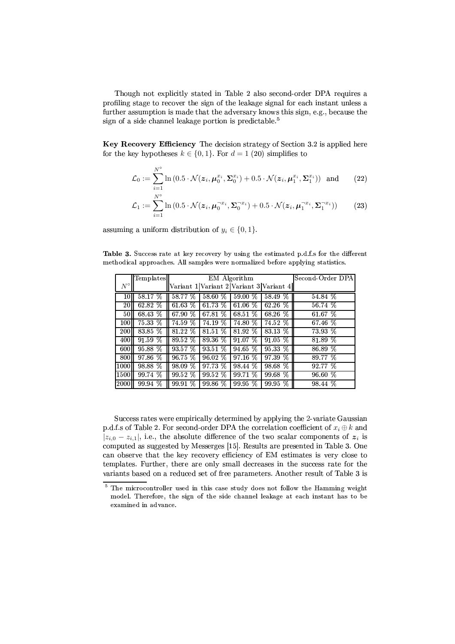Though not explicitly stated in Table 2 also second-order DPA requires a profiling stage to recover the sign of the leakage signal for each instant unless a further assumption is made that the adversary knows this sign, e.g., because the sign of a side channel leakage portion is predictable.<sup>5</sup>

Key Recovery Efficiency The decision strategy of Section 3.2 is applied here for the key hypotheses  $k \in \{0,1\}$ . For  $d = 1$  (20) simplifies to

$$
\mathcal{L}_0 := \sum_{i=1}^{N^\circ} \ln\left(0.5 \cdot \mathcal{N}(\boldsymbol{z}_i, \boldsymbol{\mu}_0^{x_i}, \boldsymbol{\Sigma}_0^{x_i}) + 0.5 \cdot \mathcal{N}(\boldsymbol{z}_i, \boldsymbol{\mu}_1^{x_i}, \boldsymbol{\Sigma}_1^{x_i})\right) \text{ and } (22)
$$

$$
\mathcal{L}_1 := \sum_{i=1}^{N^{\circ}} \ln \left( 0.5 \cdot \mathcal{N}(z_i, \mu_0^{-x_i}, \Sigma_0^{-x_i}) + 0.5 \cdot \mathcal{N}(z_i, \mu_1^{-x_i}, \Sigma_1^{-x_i}) \right) \tag{23}
$$

assuming a uniform distribution of  $y_i \in \{0, 1\}.$ 

Table 3. Success rate at key recovery by using the estimated p.d.f.s for the different methodical approaches. All samples were normalized before applying statistics.

|                  | Templates |         | EM Algorithm | Second-Order DPA |                                         |           |
|------------------|-----------|---------|--------------|------------------|-----------------------------------------|-----------|
| $N^{\circ}$      |           |         |              |                  | Variant 1 Variant 2 Variant 3 Variant 4 |           |
| 10               | 58.17 %   | 58.77 % | 58.60 %      | %<br>59.00       | 58.49 %                                 | 54.84 %   |
| 20               | 62.82 %   | 61.63%  | 6173 %       | 61.06 $%$        | 62.26 $\%$                              | 56.74 %   |
| 50               | 68.43 %   | 67.90 % | 67.81 %      | 68.51 %          | 68.26 %                                 | $61.67\%$ |
| 100              | 75.33 %   | 74.59 % | 74.19 %      | %<br>74.80       | 74.52 %                                 | 67.46 %   |
| <b>200</b>       | 83.85 %   | 81.22 % | 81.51 %      | %<br>81.92       | 83.13 %                                 | 73.93 %   |
| 400 <sub>l</sub> | 91.59%    | 89.52 % | 89 36 %      | 91.07 %          | $91.05\%$                               | 81.89 %   |
| 600              | 95.88 %   | 93.57 % | $93.51\%$    | $94.65\%$        | $95.33\%$                               | 86.89 %   |
| 800              | 97.86 %   | 96.75 % | 96.02 %      | 97.16 %          | 97.39 %                                 | 89.77 %   |
| 1000             | 98.88 %   | 98.09 % | 97.73 %      | 98.44 %          | 98.68 %                                 | 92 77 %   |
| 1500ll           | 99.74 %   | 99.52 % | 99.52 %      | 99.71 %          | 99.68 %                                 | 96.60 %   |
| 2000             | 99.94 %   | 99.91 % | $99.86\%$    | %<br>99.95       | $99.95\%$                               | 98.44 %   |

Success rates were empirically determined by applying the 2-variate Gaussian p.d.f.s of Table 2. For second-order DPA the correlation coefficient of  $x_i \oplus k$  and  $|z_{i,0} - z_{i,1}|$ , i.e., the absolute difference of the two scalar components of  $z_i$  is computed as suggested by Messerges [15]. Results are presented in Table 3. One can observe that the key recovery efficiency of EM estimates is very close to templates. Further, there are only small decreases in the success rate for the variants based on a reduced set of free parameters. Another result of Table 3 is

<sup>&</sup>lt;sup>5</sup> The microcontroller used in this case study does not follow the Hamming weight model. Therefore, the sign of the side channel leakage at each instant has to be examined in advance.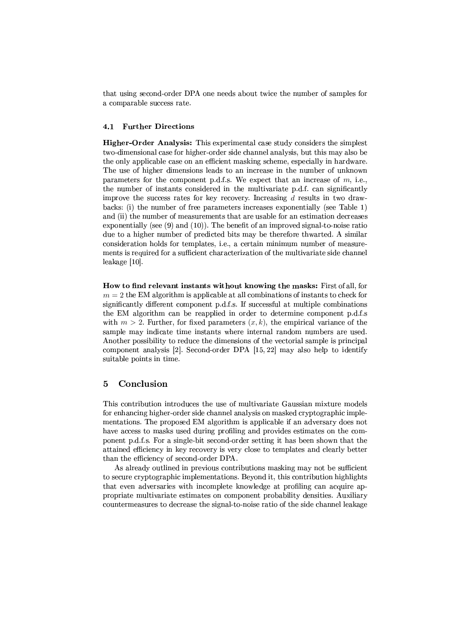that using second-order DPA one needs about twice the number of samples for a comparable success rate.

#### **Further Directions**  $4.1$

**Higher-Order Analysis:** This experimental case study considers the simplest two-dimensional case for higher-order side channel analysis, but this may also be the only applicable case on an efficient masking scheme, especially in hardware. The use of higher dimensions leads to an increase in the number of unknown parameters for the component p.d.f.s. We expect that an increase of  $m$ , i.e., the number of instants considered in the multivariate p.d.f. can significantly improve the success rates for key recovery. Increasing  $d$  results in two drawbacks: (i) the number of free parameters increases exponentially (see Table 1) and (ii) the number of measurements that are usable for an estimation decreases exponentially (see  $(9)$ ) and  $(10)$ ). The benefit of an improved signal-to-noise ratio due to a higher number of predicted bits may be therefore thwarted. A similar consideration holds for templates, i.e., a certain minimum number of measurements is required for a sufficient characterization of the multivariate side channel leakage  $[10]$ .

How to find relevant instants without knowing the masks: First of all, for  $m = 2$  the EM algorithm is applicable at all combinations of instants to check for significantly different component p.d.f.s. If successful at multiple combinations the EM algorithm can be reapplied in order to determine component p.d.f.s with  $m > 2$ . Further, for fixed parameters  $(x, k)$ , the empirical variance of the sample may indicate time instants where internal random numbers are used. Another possibility to reduce the dimensions of the vectorial sample is principal component analysis [2]. Second-order DPA  $[15, 22]$  may also help to identify suitable points in time.

# Conclusion 5

This contribution introduces the use of multivariate Gaussian mixture models for enhancing higher-order side channel analysis on masked cryptographic implementations. The proposed EM algorithm is applicable if an adversary does not have access to masks used during profiling and provides estimates on the component p.d.f.s. For a single-bit second-order setting it has been shown that the attained efficiency in key recovery is very close to templates and clearly better than the efficiency of second-order DPA.

As already outlined in previous contributions masking may not be sufficient to secure cryptographic implementations. Beyond it, this contribution highlights that even adversaries with incomplete knowledge at profiling can acquire appropriate multivariate estimates on component probability densities. Auxiliary countermeasures to decrease the signal-to-noise ratio of the side channel leakage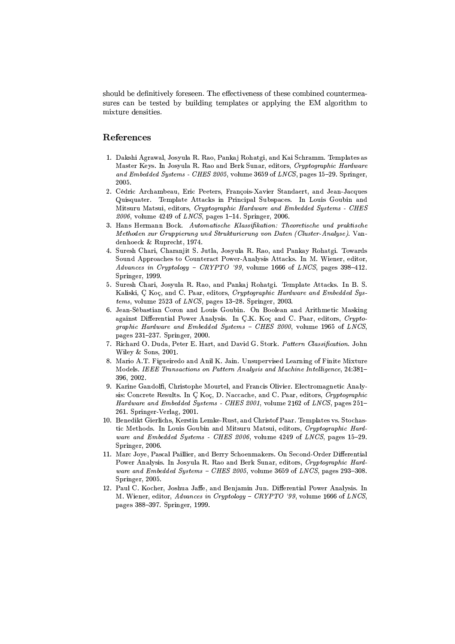should be definitively foreseen. The effectiveness of these combined countermeasures can be tested by building templates or applying the EM algorithm to mixture densities.

# References

- 1. Dakshi Agrawal, Josyula R. Rao, Pankaj Rohatgi, and Kai Schramm. Templates as Master Keys. In Josyula R. Rao and Berk Sunar, editors, Cryptographic Hardware and Embedded Systems - CHES 2005, volume 3659 of LNCS, pages 15-29. Springer, 2005.
- 2. Cédric Archambeau, Eric Peeters, François-Xavier Standaert, and Jean-Jacques Quisquater. Template Attacks in Principal Subspaces. In Louis Goubin and Mitsuru Matsui, editors, Cryptographic Hardware and Embedded Systems - CHES 2006, volume 4249 of LNCS, pages 1-14. Springer, 2006.
- 3. Hans Hermann Bock. Automatische Klassifikation: Theoretische und praktische Methoden zur Gruppierung und Strukturierung von Daten (Cluster-Analyse). Vandenhoeck & Ruprecht, 1974.
- 4. Suresh Chari, Charanjit S. Jutla, Josyula R. Rao, and Pankay Rohatgi. Towards Sound Approaches to Counteract Power-Analysis Attacks. In M. Wiener, editor, Advances in Cryptology - CRYPTO '99, volume 1666 of LNCS, pages  $398-412$ . Springer, 1999.
- 5. Suresh Chari, Josyula R. Rao, and Pankaj Rohatgi. Template Attacks. In B. S. Kaliski, C Koç, and C. Paar, editors, Cryptographic Hardware and Embedded Sys $tems$ , volume 2523 of  $LNCS$ , pages 13-28. Springer, 2003.
- 6. Jean-Sébastian Coron and Louis Goubin. On Boolean and Arithmetic Masking against Differential Power Analysis. In C.K. Koç and C. Paar, editors, Cryptographic Hardware and Embedded Systems - CHES 2000, volume 1965 of LNCS, pages 231-237. Springer, 2000.
- 7. Richard O. Duda, Peter E. Hart, and David G. Stork. Pattern Classification. John Wiley & Sons, 2001.
- 8. Mario A.T. Figueiredo and Anil K. Jain. Unsupervised Learning of Finite Mixture Models. IEEE Transactions on Pattern Analysis and Machine Intelligence, 24:381-396, 2002.
- 9. Karine Gandolfi, Christophe Mourtel, and Francis Olivier. Electromagnetic Analysis: Concrete Results. In C Koc, D. Naccache, and C. Paar, editors, Cryptographic Hardware and Embedded Systems - CHES 2001, volume 2162 of LNCS, pages 251– 261. Springer-Verlag, 2001.
- 10. Benedikt Gierlichs, Kerstin Lemke-Rust, and Christof Paar. Templates vs. Stochastic Methods. In Louis Goubin and Mitsuru Matsui, editors, Cryptographic Hardware and Embedded Systems - CHES 2006, volume 4249 of LNCS, pages 15-29. Springer, 2006.
- 11. Marc Joye, Pascal Paillier, and Berry Schoenmakers. On Second-Order Differential Power Analysis. In Josyula R. Rao and Berk Sunar, editors, Cryptographic Hardware and Embedded Systems - CHES 2005, volume 3659 of LNCS, pages 293-308. Springer, 2005.
- 12. Paul C. Kocher, Joshua Jaffe, and Benjamin Jun. Differential Power Analysis. In M. Wiener, editor, Advances in Cryptology - CRYPTO '99, volume 1666 of LNCS, pages 388-397. Springer, 1999.